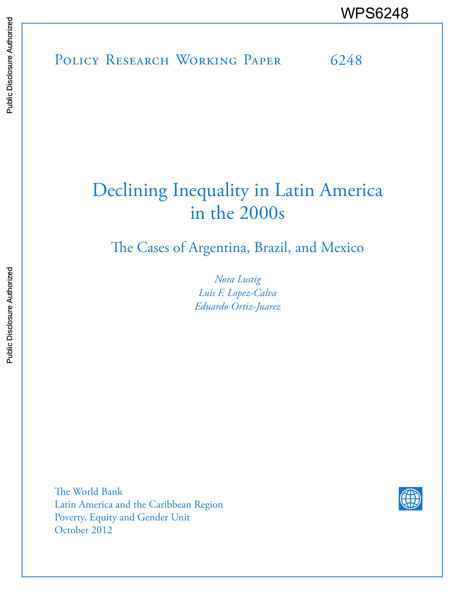POLICY RESEARCH WORKING PAPER 6248 WPS6248

# Declining Inequality in Latin America in the 2000s

The Cases of Argentina, Brazil, and Mexico

*Nora Lustig Luis F. Lopez-Calva Eduardo Ortiz-Juarez* 

The World Bank Latin America and the Caribbean Region Poverty, Equity and Gender Unit October 2012

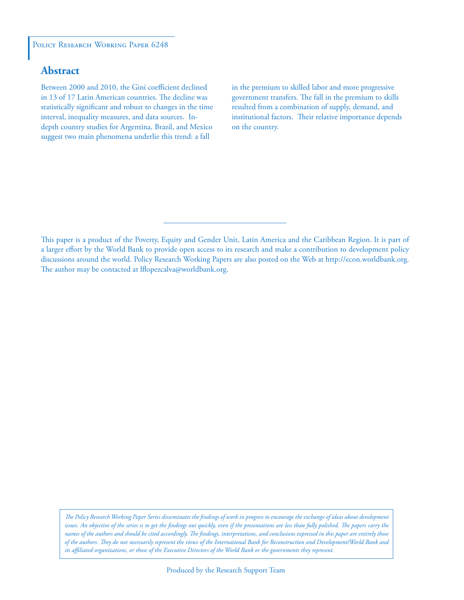#### POLICY RESEARCH WORKING PAPER 6248

# **Abstract**

Between 2000 and 2010, the Gini coefficient declined in 13 of 17 Latin American countries. The decline was statistically significant and robust to changes in the time interval, inequality measures, and data sources. Indepth country studies for Argentina, Brazil, and Mexico suggest two main phenomena underlie this trend: a fall

in the premium to skilled labor and more progressive government transfers. The fall in the premium to skills resulted from a combination of supply, demand, and institutional factors. Their relative importance depends on the country.

This paper is a product of the Poverty, Equity and Gender Unit, Latin America and the Caribbean Region. It is part of a larger effort by the World Bank to provide open access to its research and make a contribution to development policy discussions around the world. Policy Research Working Papers are also posted on the Web at http://econ.worldbank.org. The author may be contacted at lflopezcalva@worldbank.org.

*The Policy Research Working Paper Series disseminates the findings of work in progress to encourage the exchange of ideas about development*  issues. An objective of the series is to get the findings out quickly, even if the presentations are less than fully polished. The papers carry the *names of the authors and should be cited accordingly. The findings, interpretations, and conclusions expressed in this paper are entirely those of the authors. They do not necessarily represent the views of the International Bank for Reconstruction and Development/World Bank and its affiliated organizations, or those of the Executive Directors of the World Bank or the governments they represent.*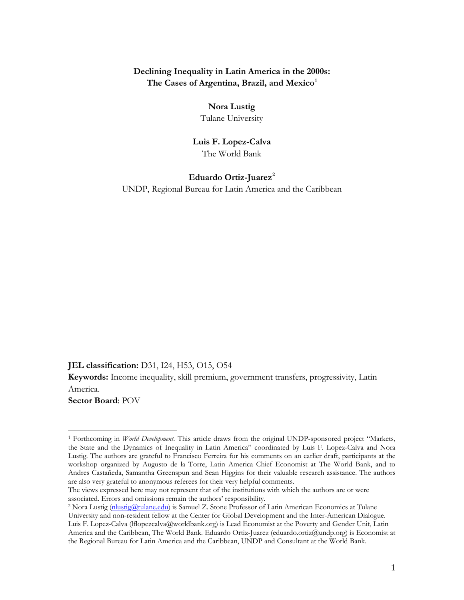# **Declining Inequality in Latin America in the 2000s: The Cases of Argentina, Brazil, and Mexico[1](#page-2-0)**

## **Nora Lustig**

Tulane University

# **Luis F. Lopez-Calva**  The World Bank

# **Eduardo Ortiz-Juarez[2](#page-2-1)** UNDP, Regional Bureau for Latin America and the Caribbean

**JEL classification:** D31, I24, H53, O15, O54

**Keywords:** Income inequality, skill premium, government transfers, progressivity, Latin America.

**Sector Board**: POV

<span id="page-2-0"></span> $\overline{a}$ <sup>1</sup> Forthcoming in *World Development*. This article draws from the original UNDP-sponsored project "Markets, the State and the Dynamics of Inequality in Latin America" coordinated by Luis F. Lopez-Calva and Nora Lustig. The authors are grateful to Francisco Ferreira for his comments on an earlier draft, participants at the workshop organized by Augusto de la Torre, Latin America Chief Economist at The World Bank, and to Andres Castañeda, Samantha Greenspun and Sean Higgins for their valuable research assistance. The authors are also very grateful to anonymous referees for their very helpful comments.

The views expressed here may not represent that of the institutions with which the authors are or were associated. Errors and omissions remain the authors' responsibility.

<span id="page-2-1"></span><sup>&</sup>lt;sup>2</sup> Nora Lustig [\(nlustig@tulane.edu\)](mailto:nlustig@tulane.edu) is Samuel Z. Stone Professor of Latin American Economics at Tulane University and non-resident fellow at the Center for Global Development and the Inter-American Dialogue. Luis F. Lopez-Calva (lflopezcalva@worldbank.org) is Lead Economist at the Poverty and Gender Unit, Latin America and the Caribbean, The World Bank. Eduardo Ortiz-Juarez (eduardo.ortiz@undp.org) is Economist at the Regional Bureau for Latin America and the Caribbean, UNDP and Consultant at the World Bank.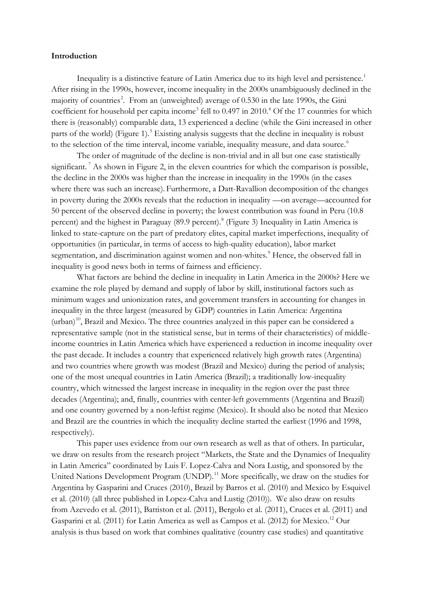#### **Introduction**

Inequality is a distinctive feature of Latin America due to its high level and persistence.<sup>[1](#page-26-0)</sup> After rising in the 1990s, however, income inequality in the 2000s unambiguously declined in the majority of countries<sup>[2](#page-26-1)</sup>. From an (unweighted) average of 0.530 in the late 1990s, the Gini coefficient for household per capita income<sup>[3](#page-26-2)</sup> fell to  $0.497$  $0.497$  $0.497$  in  $2010<sup>4</sup>$  Of the 17 countries for which there is (reasonably) comparable data, 13 experienced a decline (while the Gini increased in other parts of the world) (Figure 1).<sup>[5](#page-26-4)</sup> Existing analysis suggests that the decline in inequality is robust to the selection of the time interval, income variable, inequality measure, and data source.<sup>[6](#page-26-5)</sup>

 The order of magnitude of the decline is non-trivial and in all but one case statistically significant.<sup>[7](#page-26-6)</sup> As shown in Figure 2, in the eleven countries for which the comparison is possible, the decline in the 2000s was higher than the increase in inequality in the 1990s (in the cases where there was such an increase). Furthermore, a Datt-Ravallion decomposition of the changes in poverty during the 2000s reveals that the reduction in inequality —on average—accounted for 50 percent of the observed decline in poverty; the lowest contribution was found in Peru (10.8 percent) and the highest in Paraguay ([8](#page-26-7)9.9 percent).<sup>8</sup> (Figure 3) Inequality in Latin America is linked to state-capture on the part of predatory elites, capital market imperfections, inequality of opportunities (in particular, in terms of access to high-quality education), labor market segmentation, and discrimination against women and non-whites.<sup>[9](#page-26-8)</sup> Hence, the observed fall in inequality is good news both in terms of fairness and efficiency.

What factors are behind the decline in inequality in Latin America in the 2000s? Here we examine the role played by demand and supply of labor by skill, institutional factors such as minimum wages and unionization rates, and government transfers in accounting for changes in inequality in the three largest (measured by GDP) countries in Latin America: Argentina  $(urban)^{10}$  $(urban)^{10}$  $(urban)^{10}$ , Brazil and Mexico. The three countries analyzed in this paper can be considered a representative sample (not in the statistical sense, but in terms of their characteristics) of middleincome countries in Latin America which have experienced a reduction in income inequality over the past decade. It includes a country that experienced relatively high growth rates (Argentina) and two countries where growth was modest (Brazil and Mexico) during the period of analysis; one of the most unequal countries in Latin America (Brazil); a traditionally low-inequality country, which witnessed the largest increase in inequality in the region over the past three decades (Argentina); and, finally, countries with center-left governments (Argentina and Brazil) and one country governed by a non-leftist regime (Mexico). It should also be noted that Mexico and Brazil are the countries in which the inequality decline started the earliest (1996 and 1998, respectively).

This paper uses evidence from our own research as well as that of others. In particular, we draw on results from the research project "Markets, the State and the Dynamics of Inequality in Latin America" coordinated by Luis F. Lopez-Calva and Nora Lustig, and sponsored by the United Nations Development Program (UNDP).<sup>[11](#page-26-10)</sup> More specifically, we draw on the studies for Argentina by Gasparini and Cruces (2010), Brazil by Barros et al. (2010) and Mexico by Esquivel et al. (2010) (all three published in Lopez-Calva and Lustig (2010)). We also draw on results from Azevedo et al. (2011), Battiston et al. (2011), Bergolo et al. (2011), Cruces et al. (2011) and Gasparini et al. (2011) for Latin America as well as Campos et al. (20[12](#page-26-11)) for Mexico.<sup>12</sup> Our analysis is thus based on work that combines qualitative (country case studies) and quantitative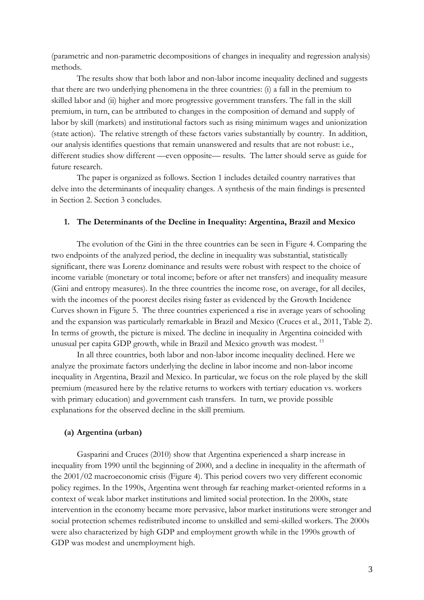(parametric and non-parametric decompositions of changes in inequality and regression analysis) methods.

The results show that both labor and non-labor income inequality declined and suggests that there are two underlying phenomena in the three countries: (i) a fall in the premium to skilled labor and (ii) higher and more progressive government transfers. The fall in the skill premium, in turn, can be attributed to changes in the composition of demand and supply of labor by skill (markets) and institutional factors such as rising minimum wages and unionization (state action). The relative strength of these factors varies substantially by country. In addition, our analysis identifies questions that remain unanswered and results that are not robust: i.e., different studies show different —even opposite— results. The latter should serve as guide for future research.

The paper is organized as follows. Section 1 includes detailed country narratives that delve into the determinants of inequality changes. A synthesis of the main findings is presented in Section 2. Section 3 concludes.

## **1. The Determinants of the Decline in Inequality: Argentina, Brazil and Mexico**

The evolution of the Gini in the three countries can be seen in Figure 4. Comparing the two endpoints of the analyzed period, the decline in inequality was substantial, statistically significant, there was Lorenz dominance and results were robust with respect to the choice of income variable (monetary or total income; before or after net transfers) and inequality measure (Gini and entropy measures). In the three countries the income rose, on average, for all deciles, with the incomes of the poorest deciles rising faster as evidenced by the Growth Incidence Curves shown in Figure 5. The three countries experienced a rise in average years of schooling and the expansion was particularly remarkable in Brazil and Mexico (Cruces et al., 2011, Table 2). In terms of growth, the picture is mixed. The decline in inequality in Argentina coincided with unusual per capita GDP growth, while in Brazil and Mexico growth was modest.<sup>[13](#page-27-0)</sup>

In all three countries, both labor and non-labor income inequality declined. Here we analyze the proximate factors underlying the decline in labor income and non-labor income inequality in Argentina, Brazil and Mexico. In particular, we focus on the role played by the skill premium (measured here by the relative returns to workers with tertiary education vs. workers with primary education) and government cash transfers. In turn, we provide possible explanations for the observed decline in the skill premium.

# **(a) Argentina (urban)**

Gasparini and Cruces (2010) show that Argentina experienced a sharp increase in inequality from 1990 until the beginning of 2000, and a decline in inequality in the aftermath of the 2001/02 macroeconomic crisis (Figure 4). This period covers two very different economic policy regimes. In the 1990s, Argentina went through far reaching market-oriented reforms in a context of weak labor market institutions and limited social protection. In the 2000s, state intervention in the economy became more pervasive, labor market institutions were stronger and social protection schemes redistributed income to unskilled and semi-skilled workers. The 2000s were also characterized by high GDP and employment growth while in the 1990s growth of GDP was modest and unemployment high.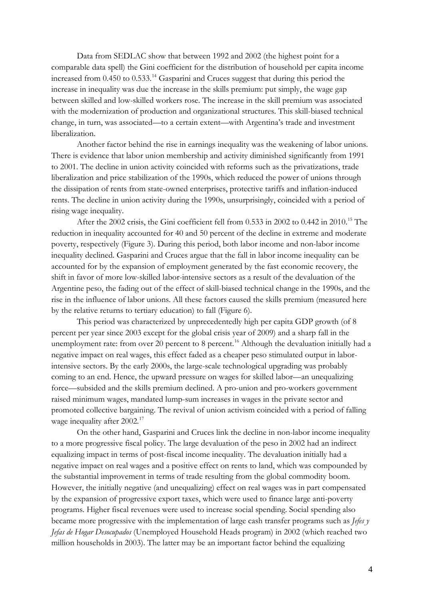Data from SEDLAC show that between 1992 and 2002 (the highest point for a comparable data spell) the Gini coefficient for the distribution of household per capita income increased from 0.450 to 0.533. 14 Gasparini and Cruces suggest that during this period the increase in inequality was due the increase in the skills premium: put simply, the wage gap between skilled and low-skilled workers rose. The increase in the skill premium was associated with the modernization of production and organizational structures. This skill-biased technical change, in turn, was associated—to a certain extent—with Argentina's trade and investment liberalization.

Another factor behind the rise in earnings inequality was the weakening of labor unions. There is evidence that labor union membership and activity diminished significantly from 1991 to 2001. The decline in union activity coincided with reforms such as the privatizations, trade liberalization and price stabilization of the 1990s, which reduced the power of unions through the dissipation of rents from state-owned enterprises, protective tariffs and inflation-induced rents. The decline in union activity during the 1990s, unsurprisingly, coincided with a period of rising wage inequality.

After the 2002 crisis, the Gini coefficient fell from 0.533 in 2002 to 0.442 in 2010. <sup>15</sup> The reduction in inequality accounted for 40 and 50 percent of the decline in extreme and moderate poverty, respectively (Figure 3). During this period, both labor income and non-labor income inequality declined. Gasparini and Cruces argue that the fall in labor income inequality can be accounted for by the expansion of employment generated by the fast economic recovery, the shift in favor of more low-skilled labor-intensive sectors as a result of the devaluation of the Argentine peso, the fading out of the effect of skill-biased technical change in the 1990s, and the rise in the influence of labor unions. All these factors caused the skills premium (measured here by the relative returns to tertiary education) to fall (Figure 6).

This period was characterized by unprecedentedly high per capita GDP growth (of 8 percent per year since 2003 except for the global crisis year of 2009) and a sharp fall in the unemployment rate: from over 20 percent to 8 percent.<sup>16</sup> Although the devaluation initially had a negative impact on real wages, this effect faded as a cheaper peso stimulated output in laborintensive sectors. By the early 2000s, the large-scale technological upgrading was probably coming to an end. Hence, the upward pressure on wages for skilled labor—an unequalizing force—subsided and the skills premium declined. A pro-union and pro-workers government raised minimum wages, mandated lump-sum increases in wages in the private sector and promoted collective bargaining. The revival of union activism coincided with a period of falling wage inequality after 2002.<sup>17</sup>

On the other hand, Gasparini and Cruces link the decline in non-labor income inequality to a more progressive fiscal policy. The large devaluation of the peso in 2002 had an indirect equalizing impact in terms of post-fiscal income inequality. The devaluation initially had a negative impact on real wages and a positive effect on rents to land, which was compounded by the substantial improvement in terms of trade resulting from the global commodity boom. However, the initially negative (and unequalizing) effect on real wages was in part compensated by the expansion of progressive export taxes, which were used to finance large anti-poverty programs. Higher fiscal revenues were used to increase social spending. Social spending also became more progressive with the implementation of large cash transfer programs such as *Jefes y Jefas de Hogar Desocupados* (Unemployed Household Heads program) in 2002 (which reached two million households in 2003). The latter may be an important factor behind the equalizing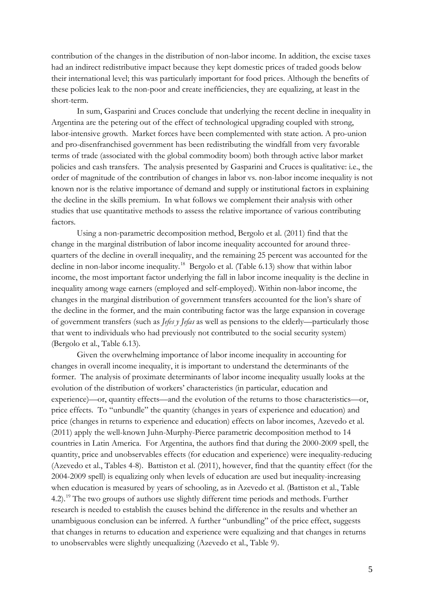contribution of the changes in the distribution of non-labor income. In addition, the excise taxes had an indirect redistributive impact because they kept domestic prices of traded goods below their international level; this was particularly important for food prices. Although the benefits of these policies leak to the non-poor and create inefficiencies, they are equalizing, at least in the short-term.

In sum, Gasparini and Cruces conclude that underlying the recent decline in inequality in Argentina are the petering out of the effect of technological upgrading coupled with strong, labor-intensive growth. Market forces have been complemented with state action. A pro-union and pro-disenfranchised government has been redistributing the windfall from very favorable terms of trade (associated with the global commodity boom) both through active labor market policies and cash transfers. The analysis presented by Gasparini and Cruces is qualitative: i.e., the order of magnitude of the contribution of changes in labor vs. non-labor income inequality is not known nor is the relative importance of demand and supply or institutional factors in explaining the decline in the skills premium. In what follows we complement their analysis with other studies that use quantitative methods to assess the relative importance of various contributing factors.

Using a non-parametric decomposition method, Bergolo et al. (2011) find that the change in the marginal distribution of labor income inequality accounted for around threequarters of the decline in overall inequality, and the remaining 25 percent was accounted for the decline in non-labor income inequality.<sup>18</sup> Bergolo et al. (Table 6.13) show that within labor income, the most important factor underlying the fall in labor income inequality is the decline in inequality among wage earners (employed and self-employed). Within non-labor income, the changes in the marginal distribution of government transfers accounted for the lion's share of the decline in the former, and the main contributing factor was the large expansion in coverage of government transfers (such as *Jefes y Jefas* as well as pensions to the elderly—particularly those that went to individuals who had previously not contributed to the social security system) (Bergolo et al., Table 6.13).

Given the overwhelming importance of labor income inequality in accounting for changes in overall income inequality, it is important to understand the determinants of the former. The analysis of proximate determinants of labor income inequality usually looks at the evolution of the distribution of workers' characteristics (in particular, education and experience)—or, quantity effects—and the evolution of the returns to those characteristics—or, price effects. To "unbundle" the quantity (changes in years of experience and education) and price (changes in returns to experience and education) effects on labor incomes, Azevedo et al. (2011) apply the well-known Juhn-Murphy-Pierce parametric decomposition method to 14 countries in Latin America. For Argentina, the authors find that during the 2000-2009 spell, the quantity, price and unobservables effects (for education and experience) were inequality-reducing (Azevedo et al., Tables 4-8). Battiston et al. (2011), however, find that the quantity effect (for the 2004-2009 spell) is equalizing only when levels of education are used but inequality-increasing when education is measured by years of schooling, as in Azevedo et al. (Battiston et al., Table 4.2).<sup>19</sup> The two groups of authors use slightly different time periods and methods. Further research is needed to establish the causes behind the difference in the results and whether an unambiguous conclusion can be inferred. A further "unbundling" of the price effect, suggests that changes in returns to education and experience were equalizing and that changes in returns to unobservables were slightly unequalizing (Azevedo et al., Table 9).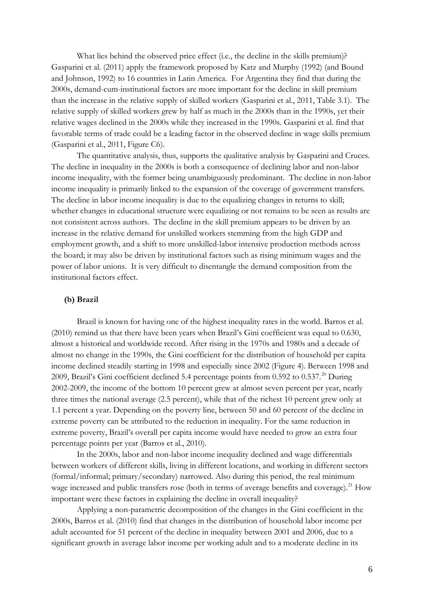What lies behind the observed price effect (i.e., the decline in the skills premium)? Gasparini et al. (2011) apply the framework proposed by Katz and Murphy (1992) (and Bound and Johnson, 1992) to 16 countries in Latin America. For Argentina they find that during the 2000s, demand-cum-institutional factors are more important for the decline in skill premium than the increase in the relative supply of skilled workers (Gasparini et al., 2011, Table 3.1). The relative supply of skilled workers grew by half as much in the 2000s than in the 1990s, yet their relative wages declined in the 2000s while they increased in the 1990s. Gasparini et al. find that favorable terms of trade could be a leading factor in the observed decline in wage skills premium (Gasparini et al., 2011, Figure C6).

The quantitative analysis, thus, supports the qualitative analysis by Gasparini and Cruces. The decline in inequality in the 2000s is both a consequence of declining labor and non-labor income inequality, with the former being unambiguously predominant. The decline in non-labor income inequality is primarily linked to the expansion of the coverage of government transfers. The decline in labor income inequality is due to the equalizing changes in returns to skill; whether changes in educational structure were equalizing or not remains to be seen as results are not consistent across authors. The decline in the skill premium appears to be driven by an increase in the relative demand for unskilled workers stemming from the high GDP and employment growth, and a shift to more unskilled-labor intensive production methods across the board; it may also be driven by institutional factors such as rising minimum wages and the power of labor unions. It is very difficult to disentangle the demand composition from the institutional factors effect.

### **(b) Brazil**

Brazil is known for having one of the highest inequality rates in the world. Barros et al. (2010) remind us that there have been years when Brazil's Gini coefficient was equal to 0.630, almost a historical and worldwide record. After rising in the 1970s and 1980s and a decade of almost no change in the 1990s, the Gini coefficient for the distribution of household per capita income declined steadily starting in 1998 and especially since 2002 (Figure 4). Between 1998 and 2009, Brazil's Gini coefficient declined 5.4 percentage points from  $0.592$  to  $0.537$ .<sup>20</sup> During 2002-2009, the income of the bottom 10 percent grew at almost seven percent per year, nearly three times the national average (2.5 percent), while that of the richest 10 percent grew only at 1.1 percent a year. Depending on the poverty line, between 50 and 60 percent of the decline in extreme poverty can be attributed to the reduction in inequality. For the same reduction in extreme poverty, Brazil's overall per capita income would have needed to grow an extra four percentage points per year (Barros et al., 2010).

In the 2000s, labor and non-labor income inequality declined and wage differentials between workers of different skills, living in different locations, and working in different sectors (formal/informal; primary/secondary) narrowed. Also during this period, the real minimum wage increased and public transfers rose (both in terms of average benefits and coverage).<sup>21</sup> How important were these factors in explaining the decline in overall inequality?

Applying a non-parametric decomposition of the changes in the Gini coefficient in the 2000s, Barros et al. (2010) find that changes in the distribution of household labor income per adult accounted for 51 percent of the decline in inequality between 2001 and 2006, due to a significant growth in average labor income per working adult and to a moderate decline in its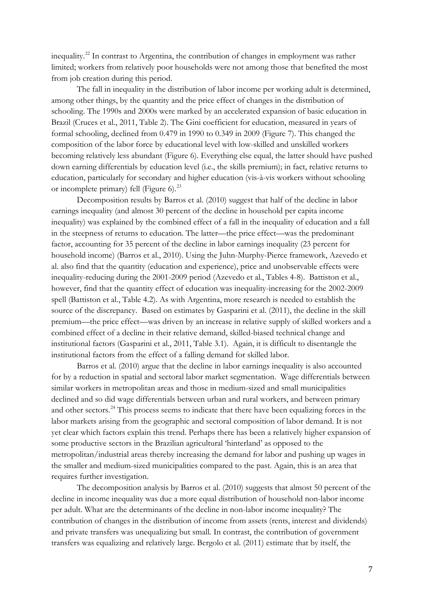inequality.22 In contrast to Argentina, the contribution of changes in employment was rather limited; workers from relatively poor households were not among those that benefited the most from job creation during this period.

The fall in inequality in the distribution of labor income per working adult is determined, among other things, by the quantity and the price effect of changes in the distribution of schooling. The 1990s and 2000s were marked by an accelerated expansion of basic education in Brazil (Cruces et al., 2011, Table 2). The Gini coefficient for education, measured in years of formal schooling, declined from 0.479 in 1990 to 0.349 in 2009 (Figure 7). This changed the composition of the labor force by educational level with low-skilled and unskilled workers becoming relatively less abundant (Figure 6). Everything else equal, the latter should have pushed down earning differentials by education level (i.e., the skills premium); in fact, relative returns to education, particularly for secondary and higher education (vis-à-vis workers without schooling or incomplete primary) fell (Figure 6). $^{23}$ 

Decomposition results by Barros et al. (2010) suggest that half of the decline in labor earnings inequality (and almost 30 percent of the decline in household per capita income inequality) was explained by the combined effect of a fall in the inequality of education and a fall in the steepness of returns to education. The latter—the price effect—was the predominant factor, accounting for 35 percent of the decline in labor earnings inequality (23 percent for household income) (Barros et al., 2010). Using the Juhn-Murphy-Pierce framework, Azevedo et al. also find that the quantity (education and experience), price and unobservable effects were inequality-reducing during the 2001-2009 period (Azevedo et al., Tables 4-8). Battiston et al., however, find that the quantity effect of education was inequality-increasing for the 2002-2009 spell (Battiston et al., Table 4.2). As with Argentina, more research is needed to establish the source of the discrepancy. Based on estimates by Gasparini et al. (2011), the decline in the skill premium—the price effect—was driven by an increase in relative supply of skilled workers and a combined effect of a decline in their relative demand, skilled-biased technical change and institutional factors (Gasparini et al., 2011, Table 3.1). Again, it is difficult to disentangle the institutional factors from the effect of a falling demand for skilled labor.

Barros et al. (2010) argue that the decline in labor earnings inequality is also accounted for by a reduction in spatial and sectoral labor market segmentation. Wage differentials between similar workers in metropolitan areas and those in medium-sized and small municipalities declined and so did wage differentials between urban and rural workers, and between primary and other sectors.<sup>24</sup> This process seems to indicate that there have been equalizing forces in the labor markets arising from the geographic and sectoral composition of labor demand. It is not yet clear which factors explain this trend. Perhaps there has been a relatively higher expansion of some productive sectors in the Brazilian agricultural 'hinterland' as opposed to the metropolitan/industrial areas thereby increasing the demand for labor and pushing up wages in the smaller and medium-sized municipalities compared to the past. Again, this is an area that requires further investigation.

The decomposition analysis by Barros et al. (2010) suggests that almost 50 percent of the decline in income inequality was due a more equal distribution of household non-labor income per adult. What are the determinants of the decline in non-labor income inequality? The contribution of changes in the distribution of income from assets (rents, interest and dividends) and private transfers was unequalizing but small. In contrast, the contribution of government transfers was equalizing and relatively large. Bergolo et al. (2011) estimate that by itself, the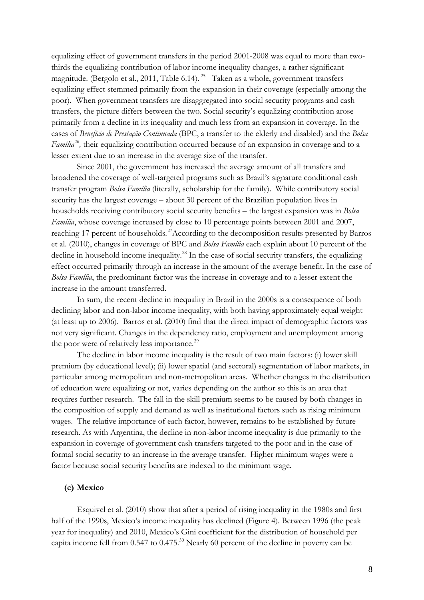equalizing effect of government transfers in the period 2001-2008 was equal to more than twothirds the equalizing contribution of labor income inequality changes, a rather significant magnitude. (Bergolo et al., 2011, Table 6.14). <sup>25</sup> Taken as a whole, government transfers equalizing effect stemmed primarily from the expansion in their coverage (especially among the poor). When government transfers are disaggregated into social security programs and cash transfers, the picture differs between the two. Social security's equalizing contribution arose primarily from a decline in its inequality and much less from an expansion in coverage. In the cases of *Benefício de Prestação Continuada* (BPC, a transfer to the elderly and disabled) and the *Bolsa Família*<sup>26</sup>, their equalizing contribution occurred because of an expansion in coverage and to a lesser extent due to an increase in the average size of the transfer.

Since 2001, the government has increased the average amount of all transfers and broadened the coverage of well-targeted programs such as Brazil's signature conditional cash transfer program *Bolsa Família* (literally, scholarship for the family). While contributory social security has the largest coverage – about 30 percent of the Brazilian population lives in households receiving contributory social security benefits – the largest expansion was in *Bolsa Família*, whose coverage increased by close to 10 percentage points between 2001 and 2007, reaching 17 percent of households.<sup>27</sup>According to the decomposition results presented by Barros et al. (2010), changes in coverage of BPC and *Bolsa Família* each explain about 10 percent of the decline in household income inequality.<sup>28</sup> In the case of social security transfers, the equalizing effect occurred primarily through an increase in the amount of the average benefit. In the case of *Bolsa Família*, the predominant factor was the increase in coverage and to a lesser extent the increase in the amount transferred.

In sum, the recent decline in inequality in Brazil in the 2000s is a consequence of both declining labor and non-labor income inequality, with both having approximately equal weight (at least up to 2006). Barros et al. (2010) find that the direct impact of demographic factors was not very significant. Changes in the dependency ratio, employment and unemployment among the poor were of relatively less importance. $^{29}$ 

The decline in labor income inequality is the result of two main factors: (i) lower skill premium (by educational level); (ii) lower spatial (and sectoral) segmentation of labor markets, in particular among metropolitan and non-metropolitan areas. Whether changes in the distribution of education were equalizing or not, varies depending on the author so this is an area that requires further research. The fall in the skill premium seems to be caused by both changes in the composition of supply and demand as well as institutional factors such as rising minimum wages. The relative importance of each factor, however, remains to be established by future research. As with Argentina, the decline in non-labor income inequality is due primarily to the expansion in coverage of government cash transfers targeted to the poor and in the case of formal social security to an increase in the average transfer. Higher minimum wages were a factor because social security benefits are indexed to the minimum wage.

## **(c) Mexico**

Esquivel et al. (2010) show that after a period of rising inequality in the 1980s and first half of the 1990s, Mexico's income inequality has declined (Figure 4). Between 1996 (the peak year for inequality) and 2010, Mexico's Gini coefficient for the distribution of household per capita income fell from  $0.547$  to  $0.475$ .<sup>30</sup> Nearly 60 percent of the decline in poverty can be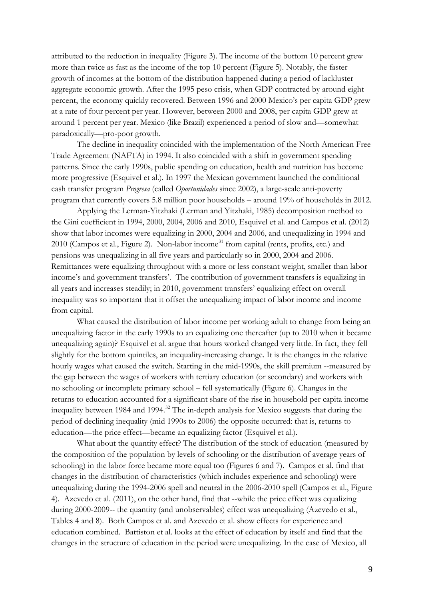attributed to the reduction in inequality (Figure 3). The income of the bottom 10 percent grew more than twice as fast as the income of the top 10 percent (Figure 5). Notably, the faster growth of incomes at the bottom of the distribution happened during a period of lackluster aggregate economic growth. After the 1995 peso crisis, when GDP contracted by around eight percent, the economy quickly recovered. Between 1996 and 2000 Mexico's per capita GDP grew at a rate of four percent per year. However, between 2000 and 2008, per capita GDP grew at around 1 percent per year. Mexico (like Brazil) experienced a period of slow and—somewhat paradoxically—pro-poor growth.

The decline in inequality coincided with the implementation of the North American Free Trade Agreement (NAFTA) in 1994. It also coincided with a shift in government spending patterns. Since the early 1990s, public spending on education, health and nutrition has become more progressive (Esquivel et al.). In 1997 the Mexican government launched the conditional cash transfer program *Progresa* (called *Oportunidades* since 2002), a large-scale anti-poverty program that currently covers 5.8 million poor households – around 19% of households in 2012.

Applying the Lerman-Yitzhaki (Lerman and Yitzhaki, 1985) decomposition method to the Gini coefficient in 1994, 2000, 2004, 2006 and 2010, Esquivel et al. and Campos et al. (2012) show that labor incomes were equalizing in 2000, 2004 and 2006, and unequalizing in 1994 and 2010 (Campos et al., Figure 2). Non-labor income<sup>31</sup> from capital (rents, profits, etc.) and pensions was unequalizing in all five years and particularly so in 2000, 2004 and 2006. Remittances were equalizing throughout with a more or less constant weight, smaller than labor income's and government transfers'. The contribution of government transfers is equalizing in all years and increases steadily; in 2010, government transfers' equalizing effect on overall inequality was so important that it offset the unequalizing impact of labor income and income from capital.

What caused the distribution of labor income per working adult to change from being an unequalizing factor in the early 1990s to an equalizing one thereafter (up to 2010 when it became unequalizing again)? Esquivel et al. argue that hours worked changed very little. In fact, they fell slightly for the bottom quintiles, an inequality-increasing change. It is the changes in the relative hourly wages what caused the switch. Starting in the mid-1990s, the skill premium --measured by the gap between the wages of workers with tertiary education (or secondary) and workers with no schooling or incomplete primary school – fell systematically (Figure 6). Changes in the returns to education accounted for a significant share of the rise in household per capita income inequality between 1984 and 1994.<sup>32</sup> The in-depth analysis for Mexico suggests that during the period of declining inequality (mid 1990s to 2006) the opposite occurred: that is, returns to education—the price effect—became an equalizing factor (Esquivel et al.).

What about the quantity effect? The distribution of the stock of education (measured by the composition of the population by levels of schooling or the distribution of average years of schooling) in the labor force became more equal too (Figures 6 and 7). Campos et al. find that changes in the distribution of characteristics (which includes experience and schooling) were unequalizing during the 1994-2006 spell and neutral in the 2006-2010 spell (Campos et al., Figure 4). Azevedo et al. (2011), on the other hand, find that --while the price effect was equalizing during 2000-2009-- the quantity (and unobservables) effect was unequalizing (Azevedo et al., Tables 4 and 8). Both Campos et al. and Azevedo et al. show effects for experience and education combined. Battiston et al. looks at the effect of education by itself and find that the changes in the structure of education in the period were unequalizing. In the case of Mexico, all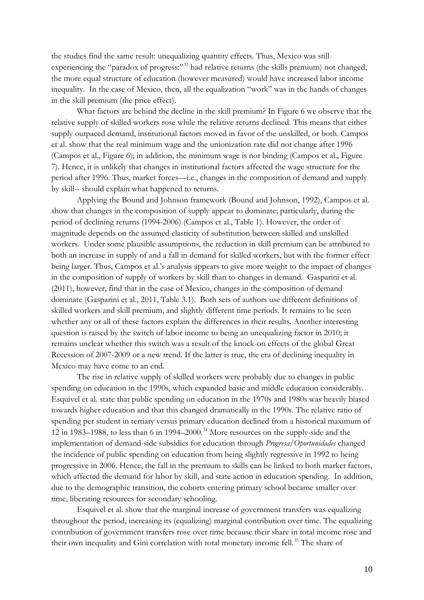the studies find the same result: unequalizing quantity effects. Thus, Mexico was still experiencing the "paradox of progress:"<sup>33</sup> had relative returns (the skills premium) not changed, the more equal structure of education (however measured) would have increased labor income inequality. In the case of Mexico, then, all the equalization "work" was in the hands of changes in the skill premium (the price effect).

What factors are behind the decline in the skill premium? In Figure 6 we observe that the relative supply of skilled workers rose while the relative returns declined. This means that either supply outpaced demand, institutional factors moved in favor of the unskilled, or both. Campos et al. show that the real minimum wage and the unionization rate did not change after 1996 (Campos et al., Figure 6); in addition, the minimum wage is not binding (Campos et al., Figure 7). Hence, it is unlikely that changes in institutional factors affected the wage structure for the period after 1996. Thus, market forces—i.e., changes in the composition of demand and supply by skill-- should explain what happened to returns.

Applying the Bound and Johnson framework (Bound and Johnson, 1992), Campos et al. show that changes in the composition of supply appear to dominate; particularly, during the period of declining returns (1994-2006) (Campos et al., Table 1). However, the order of magnitude depends on the assumed elasticity of substitution between skilled and unskilled workers. Under some plausible assumptions, the reduction in skill premium can be attributed to both an increase in supply of and a fall in demand for skilled workers, but with the former effect being larger. Thus, Campos et al.'s analysis appears to give more weight to the impact of changes in the composition of supply of workers by skill than to changes in demand. Gasparini et al. (2011), however, find that in the case of Mexico, changes in the composition of demand dominate (Gasparini et al., 2011, Table 3.1). Both sets of authors use different definitions of skilled workers and skill premium, and slightly different time periods. It remains to be seen whether any or all of these factors explain the differences in their results. Another interesting question is raised by the switch of labor income to being an unequalizing factor in 2010; it remains unclear whether this switch was a result of the knock-on effects of the global Great Recession of 2007-2009 or a new trend. If the latter is true, the era of declining inequality in Mexico may have come to an end.

The rise in relative supply of skilled workers were probably due to changes in public spending on education in the 1990s, which expanded basic and middle education considerably. Esquivel et al. state that public spending on education in the 1970s and 1980s was heavily biased towards higher education and that this changed dramatically in the 1990s. The relative ratio of spending per student in tertiary versus primary education declined from a historical maximum of 12 in 1983–1988, to less than 6 in 1994–2000.<sup>34</sup> More resources on the supply-side and the implementation of demand-side subsidies for education through *Progresa/Oportunidades* changed the incidence of public spending on education from being slightly regressive in 1992 to being progressive in 2006. Hence, the fall in the premium to skills can be linked to both market factors, which affected the demand for labor by skill, and state action in education spending. In addition, due to the demographic transition, the cohorts entering primary school became smaller over time, liberating resources for secondary schooling.

Esquivel et al. show that the marginal increase of government transfers was equalizing throughout the period, increasing its (equalizing) marginal contribution over time. The equalizing contribution of government transfers rose over time because their share in total income rose and their own inequality and Gini correlation with total monetary income fell.<sup>35</sup> The share of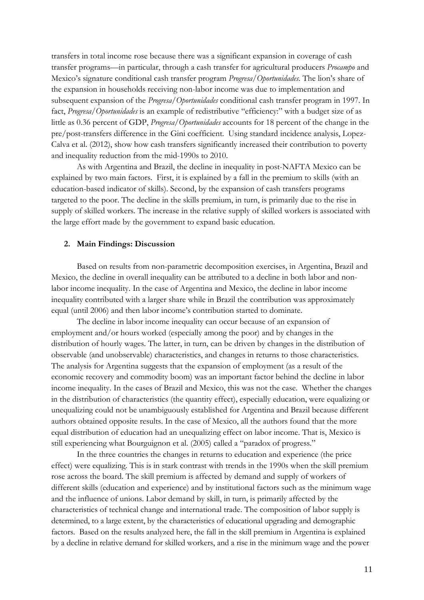transfers in total income rose because there was a significant expansion in coverage of cash transfer programs—in particular, through a cash transfer for agricultural producers *Procampo* and Mexico's signature conditional cash transfer program *Progresa/Oportunidades*. The lion's share of the expansion in households receiving non-labor income was due to implementation and subsequent expansion of the *Progresa/Oportunidades* conditional cash transfer program in 1997. In fact, *Progresa/Oportunidades* is an example of redistributive "efficiency:" with a budget size of as little as 0.36 percent of GDP, *Progresa/Oportunidades* accounts for 18 percent of the change in the pre/post-transfers difference in the Gini coefficient. Using standard incidence analysis, Lopez-Calva et al. (2012), show how cash transfers significantly increased their contribution to poverty and inequality reduction from the mid-1990s to 2010.

As with Argentina and Brazil, the decline in inequality in post-NAFTA Mexico can be explained by two main factors. First, it is explained by a fall in the premium to skills (with an education-based indicator of skills). Second, by the expansion of cash transfers programs targeted to the poor. The decline in the skills premium, in turn, is primarily due to the rise in supply of skilled workers. The increase in the relative supply of skilled workers is associated with the large effort made by the government to expand basic education.

#### **2. Main Findings: Discussion**

Based on results from non-parametric decomposition exercises, in Argentina, Brazil and Mexico, the decline in overall inequality can be attributed to a decline in both labor and nonlabor income inequality. In the case of Argentina and Mexico, the decline in labor income inequality contributed with a larger share while in Brazil the contribution was approximately equal (until 2006) and then labor income's contribution started to dominate.

The decline in labor income inequality can occur because of an expansion of employment and/or hours worked (especially among the poor) and by changes in the distribution of hourly wages. The latter, in turn, can be driven by changes in the distribution of observable (and unobservable) characteristics, and changes in returns to those characteristics. The analysis for Argentina suggests that the expansion of employment (as a result of the economic recovery and commodity boom) was an important factor behind the decline in labor income inequality. In the cases of Brazil and Mexico, this was not the case. Whether the changes in the distribution of characteristics (the quantity effect), especially education, were equalizing or unequalizing could not be unambiguously established for Argentina and Brazil because different authors obtained opposite results. In the case of Mexico, all the authors found that the more equal distribution of education had an unequalizing effect on labor income. That is, Mexico is still experiencing what Bourguignon et al. (2005) called a "paradox of progress."

In the three countries the changes in returns to education and experience (the price effect) were equalizing. This is in stark contrast with trends in the 1990s when the skill premium rose across the board. The skill premium is affected by demand and supply of workers of different skills (education and experience) and by institutional factors such as the minimum wage and the influence of unions. Labor demand by skill, in turn, is primarily affected by the characteristics of technical change and international trade. The composition of labor supply is determined, to a large extent, by the characteristics of educational upgrading and demographic factors. Based on the results analyzed here, the fall in the skill premium in Argentina is explained by a decline in relative demand for skilled workers, and a rise in the minimum wage and the power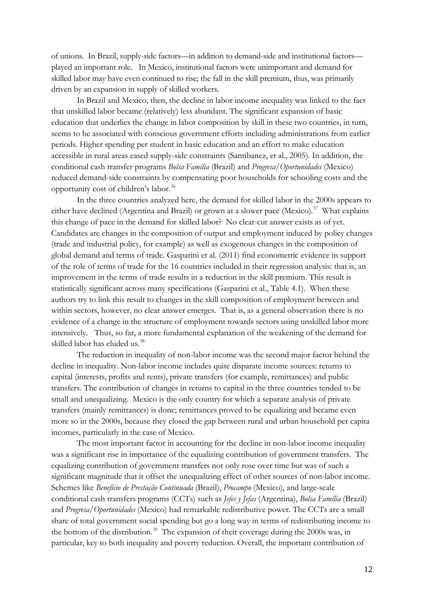of unions. In Brazil, supply-side factors—in addition to demand-side and institutional factors played an important role. In Mexico, institutional factors were unimportant and demand for skilled labor may have even continued to rise; the fall in the skill premium, thus, was primarily driven by an expansion in supply of skilled workers.

In Brazil and Mexico, then, the decline in labor income inequality was linked to the fact that unskilled labor became (relatively) less abundant. The significant expansion of basic education that underlies the change in labor composition by skill in these two countries, in turn, seems to be associated with conscious government efforts including administrations from earlier periods. Higher spending per student in basic education and an effort to make education accessible in rural areas eased supply-side constraints (Santibanez, et al., 2005). In addition, the conditional cash transfer programs *Bolsa Família* (Brazil) and *Progresa/Oportunidades* (Mexico) reduced demand-side constraints by compensating poor households for schooling costs and the opportunity cost of children's labor.36

In the three countries analyzed here, the demand for skilled labor in the 2000s appears to either have declined (Argentina and Brazil) or grown at a slower pace (Mexico).<sup>37</sup> What explains this change of pace in the demand for skilled labor? No clear-cut answer exists as of yet. Candidates are changes in the composition of output and employment induced by policy changes (trade and industrial policy, for example) as well as exogenous changes in the composition of global demand and terms of trade. Gasparini et al. (2011) find econometric evidence in support of the role of terms of trade for the 16 countries included in their regression analysis: that is, an improvement in the terms of trade results in a reduction in the skill premium. This result is statistically significant across many specifications (Gasparini et al., Table 4.1). When these authors try to link this result to changes in the skill composition of employment between and within sectors, however, no clear answer emerges. That is, as a general observation there is no evidence of a change in the structure of employment towards sectors using unskilled labor more intensively. Thus, so far, a more fundamental explanation of the weakening of the demand for skilled labor has eluded us.<sup>38</sup>

The reduction in inequality of non-labor income was the second major factor behind the decline in inequality. Non-labor income includes quite disparate income sources: returns to capital (interests, profits and rents), private transfers (for example, remittances) and public transfers. The contribution of changes in returns to capital in the three countries tended to be small and unequalizing. Mexico is the only country for which a separate analysis of private transfers (mainly remittances) is done; remittances proved to be equalizing and became even more so in the 2000s, because they closed the gap between rural and urban household per capita incomes, particularly in the case of Mexico.

The most important factor in accounting for the decline in non-labor income inequality was a significant rise in importance of the equalizing contribution of government transfers. The equalizing contribution of government transfers not only rose over time but was of such a significant magnitude that it offset the unequalizing effect of other sources of non-labor income. Schemes like *Benefício de Prestação Continuada* (Brazil), *Procampo* (Mexico), and large-scale conditional cash transfers programs (CCTs) such as *Jefes y Jefas* (Argentina), *Bolsa Família* (Brazil) and *Progresa/Oportunidades* (Mexico) had remarkable redistributive power. The CCTs are a small share of total government social spending but go a long way in terms of redistributing income to the bottom of the distribution.<sup>39</sup> The expansion of their coverage during the 2000s was, in particular, key to both inequality and poverty reduction. Overall, the important contribution of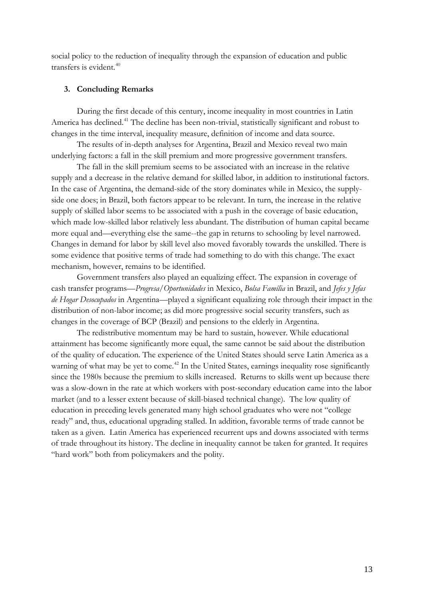social policy to the reduction of inequality through the expansion of education and public transfers is evident.<sup>40</sup>

## **3. Concluding Remarks**

During the first decade of this century, income inequality in most countries in Latin America has declined.<sup>41</sup> The decline has been non-trivial, statistically significant and robust to changes in the time interval, inequality measure, definition of income and data source.

The results of in-depth analyses for Argentina, Brazil and Mexico reveal two main underlying factors: a fall in the skill premium and more progressive government transfers.

The fall in the skill premium seems to be associated with an increase in the relative supply and a decrease in the relative demand for skilled labor, in addition to institutional factors. In the case of Argentina, the demand-side of the story dominates while in Mexico, the supplyside one does; in Brazil, both factors appear to be relevant. In turn, the increase in the relative supply of skilled labor seems to be associated with a push in the coverage of basic education, which made low-skilled labor relatively less abundant. The distribution of human capital became more equal and—everything else the same--the gap in returns to schooling by level narrowed. Changes in demand for labor by skill level also moved favorably towards the unskilled. There is some evidence that positive terms of trade had something to do with this change. The exact mechanism, however, remains to be identified.

Government transfers also played an equalizing effect. The expansion in coverage of cash transfer programs—*Progresa/Oportunidades* in Mexico, *Bolsa Família* in Brazil, and *Jefes y Jefas de Hogar Desocupados* in Argentina—played a significant equalizing role through their impact in the distribution of non-labor income; as did more progressive social security transfers, such as changes in the coverage of BCP (Brazil) and pensions to the elderly in Argentina.

The redistributive momentum may be hard to sustain, however. While educational attainment has become significantly more equal, the same cannot be said about the distribution of the quality of education. The experience of the United States should serve Latin America as a warning of what may be yet to come.<sup>42</sup> In the United States, earnings inequality rose significantly since the 1980s because the premium to skills increased. Returns to skills went up because there was a slow-down in the rate at which workers with post-secondary education came into the labor market (and to a lesser extent because of skill-biased technical change). The low quality of education in preceding levels generated many high school graduates who were not "college ready" and, thus, educational upgrading stalled. In addition, favorable terms of trade cannot be taken as a given. Latin America has experienced recurrent ups and downs associated with terms of trade throughout its history. The decline in inequality cannot be taken for granted. It requires "hard work" both from policymakers and the polity.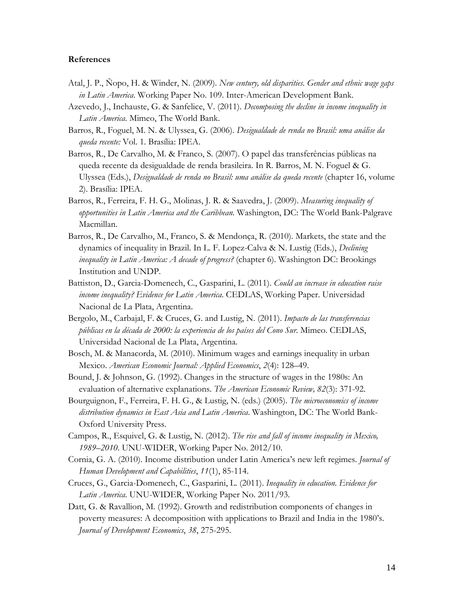#### **References**

- Atal, J. P., Ñopo, H. & Winder, N. (2009). *New century, old disparities. Gender and ethnic wage gaps in Latin America*. Working Paper No. 109. Inter-American Development Bank.
- Azevedo, J., Inchauste, G. & Sanfelice, V. (2011). *Decomposing the decline in income inequality in Latin America*. Mimeo, The World Bank.
- Barros, R., Foguel, M. N. & Ulyssea, G. (2006). *Desigualdade de renda no Brasil: uma análise da queda recente:* Vol. 1. Brasília: IPEA.
- Barros, R., De Carvalho, M. & Franco, S. (2007). O papel das transferências públicas na queda recente da desigualdade de renda brasileira. In R. Barros, M. N. Foguel & G. Ulyssea (Eds.), *Desigualdade de renda no Brasil: uma análise da queda recente* (chapter 16, volume 2). Brasília: IPEA.
- Barros, R., Ferreira, F. H. G., Molinas, J. R. & Saavedra, J. (2009). *Measuring inequality of opportunities in Latin America and the Caribbean.* Washington, DC: The World Bank-Palgrave Macmillan.
- Barros, R., De Carvalho, M., Franco, S. & Mendonça, R. (2010). Markets, the state and the dynamics of inequality in Brazil. In L. F. Lopez-Calva & N. Lustig (Eds.), *Declining inequality in Latin America: A decade of progress?* (chapter 6). Washington DC: Brookings Institution and UNDP.
- Battiston, D., Garcia-Domenech, C., Gasparini, L. (2011). *Could an increase in education raise income inequality? Evidence for Latin America*. CEDLAS, Working Paper. Universidad Nacional de La Plata, Argentina.
- Bergolo, M., Carbajal, F. & Cruces, G. and Lustig, N. (2011). *Impacto de las transferencias públicas en la década de 2000: la experiencia de los países del Cono Sur*. Mimeo. CEDLAS, Universidad Nacional de La Plata, Argentina.
- Bosch, M. & Manacorda, M. (2010). Minimum wages and earnings inequality in urban Mexico. *American Economic Journal: Applied Economics*, *2*(4): 128–49.
- Bound, J. & Johnson, G. (1992). Changes in the structure of wages in the 1980s: An evaluation of alternative explanations. *The American Economic Review, 82*(3): 371-92.
- Bourguignon, F., Ferreira, F. H. G., & Lustig, N. (eds.) (2005). *The microeconomics of income distribution dynamics in East Asia and Latin America*. Washington, DC: The World Bank-Oxford University Press.
- Campos, R., Esquivel, G. & Lustig, N. (2012). *The rise and fall of income inequality in Mexico, 1989–2010*. UNU-WIDER, Working Paper No. 2012/10.
- Cornia, G. A. (2010). Income distribution under Latin America's new left regimes. *Journal of Human Development and Capabilities*, *11*(1), 85-114.
- Cruces, G., Garcia-Domenech, C., Gasparini, L. (2011). *Inequality in education. Evidence for Latin America*. UNU-WIDER, Working Paper No. 2011/93.
- Datt, G. & Ravallion, M. (1992). Growth and redistribution components of changes in poverty measures: A decomposition with applications to Brazil and India in the 1980's. *Journal of Development Economics*, *38*, 275-295.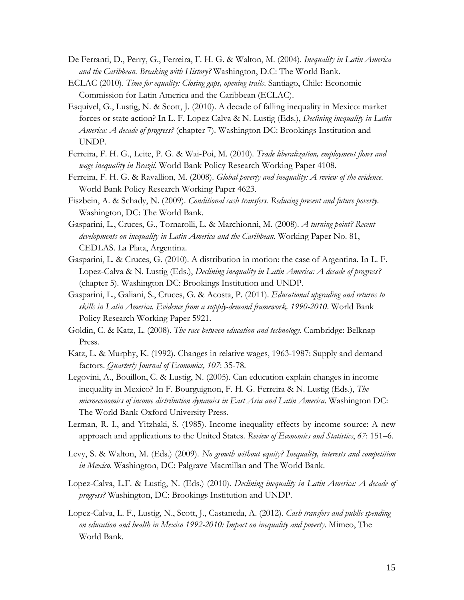- De Ferranti, D., Perry, G., Ferreira, F. H. G. & Walton, M. (2004). *Inequality in Latin America and the Caribbean. Breaking with History?* Washington, D.C: The World Bank.
- ECLAC (2010). *Time for equality: Closing gaps, opening trails*. Santiago, Chile: Economic Commission for Latin America and the Caribbean (ECLAC).
- Esquivel, G., Lustig, N. & Scott, J. (2010). A decade of falling inequality in Mexico: market forces or state action? In L. F. Lopez Calva & N. Lustig (Eds.), *Declining inequality in Latin America: A decade of progress?* (chapter 7). Washington DC: Brookings Institution and UNDP.
- Ferreira, F. H. G., Leite, P. G. & Wai-Poi, M. (2010). *Trade liberalization, employment flows and wage inequality in Brazil*. World Bank Policy Research Working Paper 4108.
- Ferreira, F. H. G. & Ravallion, M. (2008). *Global poverty and inequality: A review of the evidence*. World Bank Policy Research Working Paper 4623.
- Fiszbein, A. & Schady, N. (2009). *Conditional cash transfers. Reducing present and future poverty*. Washington, DC: The World Bank.
- Gasparini, L., Cruces, G., Tornarolli, L. & Marchionni, M. (2008). *A turning point? Recent developments on inequality in Latin America and the Caribbean*. Working Paper No. 81, CEDLAS. La Plata, Argentina.
- Gasparini, L. & Cruces, G. (2010). A distribution in motion: the case of Argentina. In L. F. Lopez-Calva & N. Lustig (Eds.), *Declining inequality in Latin America: A decade of progress?*  (chapter 5). Washington DC: Brookings Institution and UNDP.
- Gasparini, L., Galiani, S., Cruces, G. & Acosta, P. (2011). *Educational upgrading and returns to skills in Latin America. Evidence from a supply-demand framework, 1990-2010*. World Bank Policy Research Working Paper 5921.
- Goldin, C. & Katz, L. (2008). *The race between education and technology.* Cambridge: Belknap Press.
- Katz, L. & Murphy, K. (1992). Changes in relative wages, 1963-1987: Supply and demand factors. *Quarterly Journal of Economics, 107*: 35-78.
- Legovini, A., Bouillon, C. & Lustig, N. (2005). Can education explain changes in income inequality in Mexico? In F. Bourguignon, F. H. G. Ferreira & N. Lustig (Eds.), *The microeconomics of income distribution dynamics in East Asia and Latin America*. Washington DC: The World Bank-Oxford University Press.
- Lerman, R. I., and Yitzhaki, S. (1985). Income inequality effects by income source: A new approach and applications to the United States. *Review of Economics and Statistics*, *67*: 151–6.
- Levy, S. & Walton, M. (Eds.) (2009). *No growth without equity? Inequality, interests and competition in Mexico*. Washington, DC: Palgrave Macmillan and The World Bank.
- Lopez-Calva, L.F. & Lustig, N. (Eds.) (2010). *Declining inequality in Latin America: A decade of progress?* Washington, DC: Brookings Institution and UNDP.
- Lopez-Calva, L. F., Lustig, N., Scott, J., Castaneda, A. (2012). *Cash transfers and public spending on education and health in Mexico 1992-2010: Impact on inequality and poverty*. Mimeo, The World Bank.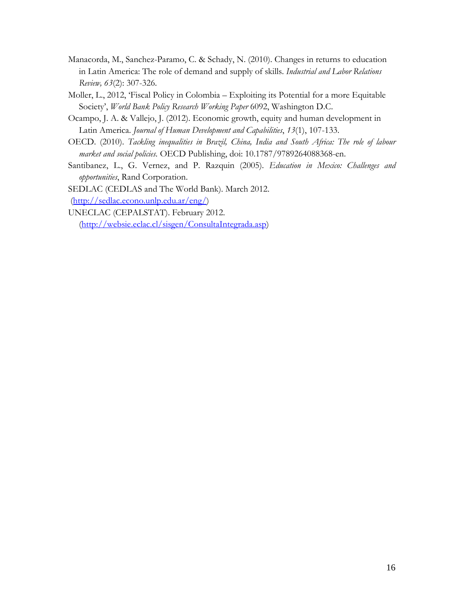- Manacorda, M., Sanchez-Paramo, C. & Schady, N. (2010). Changes in returns to education in Latin America: The role of demand and supply of skills. *Industrial and Labor Relations Review, 63*(2): 307-326.
- Moller, L., 2012, 'Fiscal Policy in Colombia Exploiting its Potential for a more Equitable Society', *World Bank Policy Research Working Paper* 6092, Washington D.C.
- Ocampo, J. A. & Vallejo, J. (2012). Economic growth, equity and human development in Latin America. *Journal of Human Development and Capabilities*, *13*(1), 107-133.
- OECD. (2010). *Tackling inequalities in Brazil, China, India and South Africa: The role of labour market and social policies.* OECD Publishing, doi: 10.1787/9789264088368-en.
- Santibanez, L., G. Vernez, and P. Razquin (2005). *Education in Mexico: Challenges and opportunities*, Rand Corporation.
- SEDLAC (CEDLAS and The World Bank). March 2012.

[\(http://sedlac.econo.unlp.edu.ar/eng/\)](http://sedlac.econo.unlp.edu.ar/eng/)

UNECLAC (CEPALSTAT). February 2012. [\(http://websie.eclac.cl/sisgen/ConsultaIntegrada.asp\)](http://websie.eclac.cl/sisgen/ConsultaIntegrada.asp)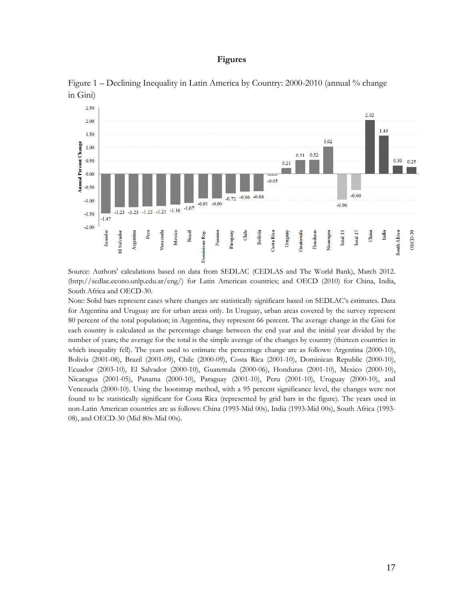#### **Figures**



Figure 1 – Declining Inequality in Latin America by Country: 2000-2010 (annual % change in Gini)

Source: Authors' calculations based on data from SEDLAC (CEDLAS and The World Bank), March 2012. (http://sedlac.econo.unlp.edu.ar/eng/) for Latin American countries; and OECD (2010) for China, India, South Africa and OECD-30.

Note: Solid bars represent cases where changes are statistically significant based on SEDLAC's estimates. Data for Argentina and Uruguay are for urban areas only. In Uruguay, urban areas covered by the survey represent 80 percent of the total population; in Argentina, they represent 66 percent. The average change in the Gini for each country is calculated as the percentage change between the end year and the initial year divided by the number of years; the average for the total is the simple average of the changes by country (thirteen countries in which inequality fell). The years used to estimate the percentage change are as follows: Argentina (2000-10), Bolivia (2001-08), Brazil (2001-09), Chile (2000-09), Costa Rica (2001-10), Dominican Republic (2000-10), Ecuador (2003-10), El Salvador (2000-10), Guatemala (2000-06), Honduras (2001-10), Mexico (2000-10), Nicaragua (2001-05), Panama (2000-10), Paraguay (2001-10), Peru (2001-10), Uruguay (2000-10), and Venezuela (2000-10). Using the bootstrap method, with a 95 percent significance level, the changes were not found to be statistically significant for Costa Rica (represented by grid bars in the figure). The years used in non-Latin American countries are as follows: China (1993-Mid 00s), India (1993-Mid 00s), South Africa (1993- 08), and OECD-30 (Mid 80s-Mid 00s).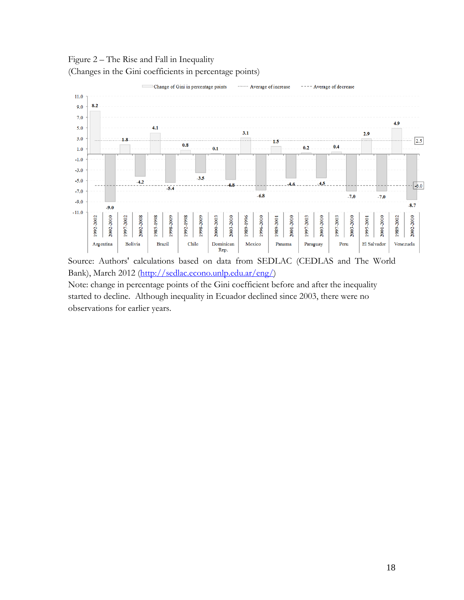



Source: Authors' calculations based on data from SEDLAC (CEDLAS and The World Bank), March 2012 [\(http://sedlac.econo.unlp.edu.ar/eng/\)](http://sedlac.econo.unlp.edu.ar/eng/)

Note: change in percentage points of the Gini coefficient before and after the inequality started to decline. Although inequality in Ecuador declined since 2003, there were no observations for earlier years.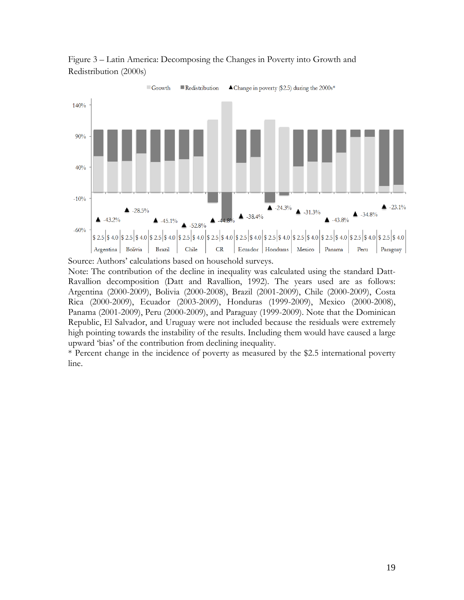

Figure 3 – Latin America: Decomposing the Changes in Poverty into Growth and Redistribution (2000s)

Source: Authors' calculations based on household surveys.

Note: The contribution of the decline in inequality was calculated using the standard Datt-Ravallion decomposition (Datt and Ravallion, 1992). The years used are as follows: Argentina (2000-2009), Bolivia (2000-2008), Brazil (2001-2009), Chile (2000-2009), Costa Rica (2000-2009), Ecuador (2003-2009), Honduras (1999-2009), Mexico (2000-2008), Panama (2001-2009), Peru (2000-2009), and Paraguay (1999-2009). Note that the Dominican Republic, El Salvador, and Uruguay were not included because the residuals were extremely high pointing towards the instability of the results. Including them would have caused a large upward 'bias' of the contribution from declining inequality.

\* Percent change in the incidence of poverty as measured by the \$2.5 international poverty line.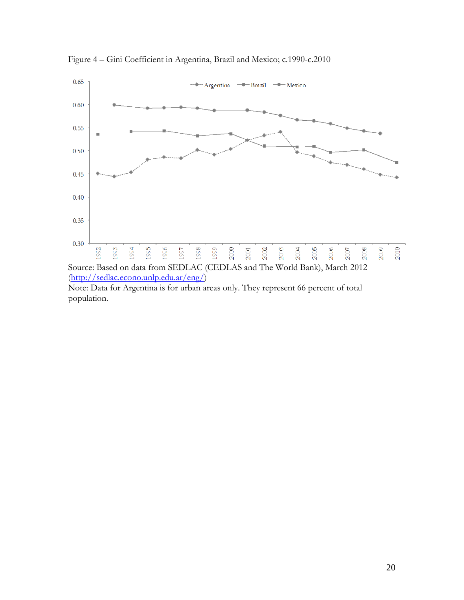

Figure 4 – Gini Coefficient in Argentina, Brazil and Mexico; c.1990-c.2010

[\(http://sedlac.econo.unlp.edu.ar/eng/\)](http://sedlac.econo.unlp.edu.ar/eng/)

Note: Data for Argentina is for urban areas only. They represent 66 percent of total population.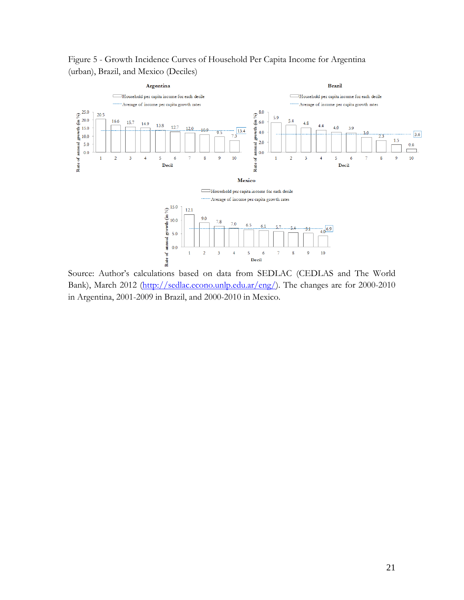



Source: Author's calculations based on data from SEDLAC (CEDLAS and The World Bank), March 2012 [\(http://sedlac.econo.unlp.edu.ar/eng/\)](http://sedlac.econo.unlp.edu.ar/eng/). The changes are for 2000-2010 in Argentina, 2001-2009 in Brazil, and 2000-2010 in Mexico.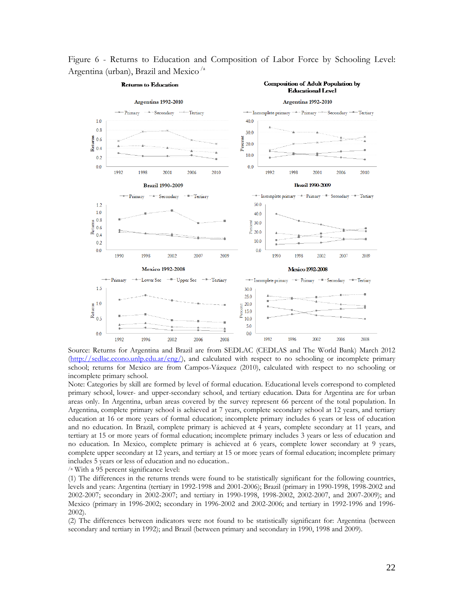

Figure 6 - Returns to Education and Composition of Labor Force by Schooling Level: Argentina (urban), Brazil and Mexico<sup>/a</sup>

Source: Returns for Argentina and Brazil are from SEDLAC (CEDLAS and The World Bank) March 2012 [\(http://sedlac.econo.unlp.edu.ar/eng/\)](http://sedlac.econo.unlp.edu.ar/eng/), and calculated with respect to no schooling or incomplete primary school; returns for Mexico are from Campos-Vázquez (2010), calculated with respect to no schooling or incomplete primary school.

Note: Categories by skill are formed by level of formal education. Educational levels correspond to completed primary school, lower- and upper-secondary school, and tertiary education. Data for Argentina are for urban areas only. In Argentina, urban areas covered by the survey represent 66 percent of the total population. In Argentina, complete primary school is achieved at 7 years, complete secondary school at 12 years, and tertiary education at 16 or more years of formal education; incomplete primary includes 6 years or less of education and no education. In Brazil, complete primary is achieved at 4 years, complete secondary at 11 years, and tertiary at 15 or more years of formal education; incomplete primary includes 3 years or less of education and no education. In Mexico, complete primary is achieved at 6 years, complete lower secondary at 9 years, complete upper secondary at 12 years, and tertiary at 15 or more years of formal education; incomplete primary includes 5 years or less of education and no education..

/a With a 95 percent significance level:

(1) The differences in the returns trends were found to be statistically significant for the following countries, levels and years: Argentina (tertiary in 1992-1998 and 2001-2006); Brazil (primary in 1990-1998, 1998-2002 and 2002-2007; secondary in 2002-2007; and tertiary in 1990-1998, 1998-2002, 2002-2007, and 2007-2009); and Mexico (primary in 1996-2002; secondary in 1996-2002 and 2002-2006; and tertiary in 1992-1996 and 1996- 2002).

(2) The differences between indicators were not found to be statistically significant for: Argentina (between secondary and tertiary in 1992); and Brazil (between primary and secondary in 1990, 1998 and 2009).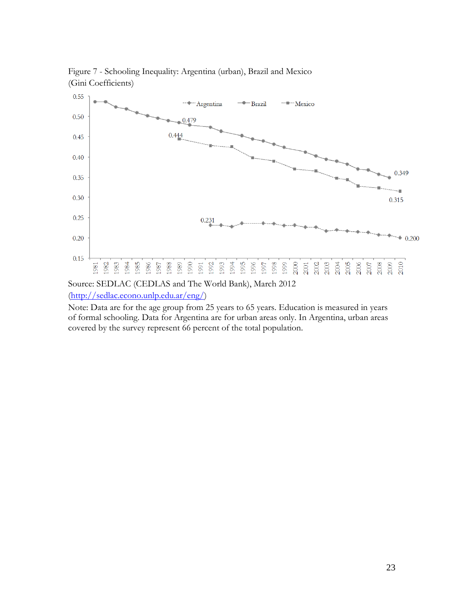

Figure 7 - Schooling Inequality: Argentina (urban), Brazil and Mexico (Gini Coefficients)

Source: SEDLAC (CEDLAS and The World Bank), March 2012

[\(http://sedlac.econo.unlp.edu.ar/eng/\)](http://sedlac.econo.unlp.edu.ar/eng/)

Note: Data are for the age group from 25 years to 65 years. Education is measured in years of formal schooling. Data for Argentina are for urban areas only. In Argentina, urban areas covered by the survey represent 66 percent of the total population.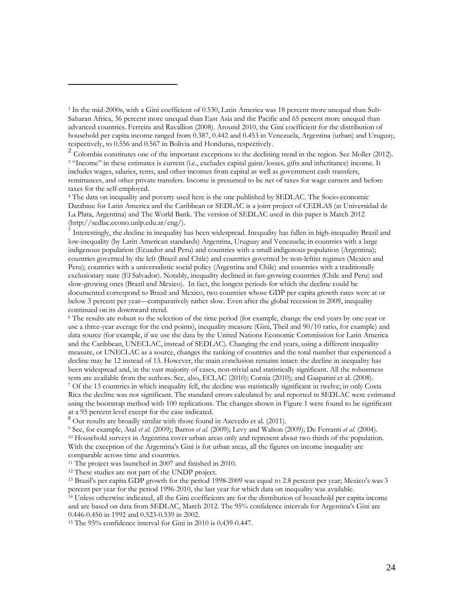$\frac{2}{3}$  Colombia constitutes one of the important exceptions to the declining trend in the region. See Moller (2012).  $\frac{3}{3}$  "Income" in these estimates is current (i.e., excludes capital gains/losses, gifts and inhe includes wages, salaries, rents, and other incomes from capital as well as government cash transfers, remittances, and other private transfers. Income is presumed to be net of taxes for wage earners and before taxes for the self-employed.<br><sup>4</sup> The data on inequality and poverty used here is the one published by SEDLAC. The Socio-economic

Database for Latin America and the Caribbean or SEDLAC is a joint project of CEDLAS (at Universidad de La Plata, Argentina) and The World Bank. The version of SEDLAC used in this paper is March 2012 (http://sedlac.econo.unlp.edu.ar/eng/).

<sup>5</sup> Interestingly, the decline in inequality has been widespread. Inequality has fallen in high-inequality Brazil and low-inequality (by Latin American standards) Argentina, Uruguay and Venezuela; in countries with a large indigenous population (Ecuador and Peru) and countries with a small indigenous population (Argentina); countries governed by the left (Brazil and Chile) and countries governed by non-leftist regimes (Mexico and Peru); countries with a universalistic social policy (Argentina and Chile) and countries with a traditionally exclusionary state (El Salvador). Notably, inequality declined in fast-growing countries (Chile and Peru) and slow-growing ones (Brazil and Mexico). In fact, the longest periods for which the decline could be documented correspond to Brazil and Mexico, two countries whose GDP per capita growth rates were at or below 3 percent per year—comparatively rather slow. Even after the global recession in 2009, inequality continued on its downward trend.

6 The results are robust to the selection of the time period (for example, change the end years by one year or use a three-year average for the end points), inequality measure (Gini, Theil and 90/10 ratio, for example) and data source (for example, if we use the data by the United Nations Economic Commission for Latin America and the Caribbean, UNECLAC, instead of SEDLAC). Changing the end years, using a different inequality measure, or UNECLAC as a source, changes the ranking of countries and the total number that experienced a decline may be 12 instead of 13. However, the main conclusion remains intact: the decline in inequality has been widespread and, in the vast majority of cases, non-trivial and statistically significant. All the robustness tests are available from the authors. See, also, ECLAC (2010); Cornia (2010); and Gasparini et al. (2008). 7 Of the 13 countries in which inequality fell, the decline was statistically significant in twelve; in only Costa Rica the decline was not significant. The standard errors calculated by and reported in SEDLAC were estimated using the bootstrap method with 100 replications. The changes shown in Figure 1 were found to be significant at a 95 percent level except for the case indicated.

<sup>8</sup> Our results are broadly similar with those found in Azevedo et al. (2011).

<sup>9</sup> See, for example, Atal *et al.* (2009); Barros *et al*. (2009); Levy and Walton (2009); De Ferranti *et al.* (2004). <sup>10</sup> Household surveys in Argentina cover urban areas only and represent about two thirds of the population. With the exception of the Argentina's Gini is for urban areas, all the figures on income inequality are comparable across time and countries.

<sup>11</sup> The project was launched in 2007 and finished in 2010.

<sup>12</sup> These studies are not part of the UNDP project.

 $\overline{a}$ 

<sup>13</sup> Brazil's per capita GDP growth for the period 1998-2009 was equal to 2.8 percent per year; Mexico's was 3 percent per year for the period 1996-2010, the last year for which data on inequality was available.

<sup>14</sup> Unless otherwise indicated, all the Gini coefficients are for the distribution of household per capita income and are based on data from SEDLAC, March 2012. The 95% confidence intervals for Argentina's Gini are 0.446-0.456 in 1992 and 0.523-0.539 in 2002.

<sup>15</sup> The 95% confidence interval for Gini in 2010 is 0.439-0.447.

<sup>1</sup> In the mid-2000s, with a Gini coefficient of 0.530, Latin America was 18 percent more unequal than Sub-Saharan Africa, 36 percent more unequal than East Asia and the Pacific and 65 percent more unequal than advanced countries. Ferreira and Ravallion (2008). Around 2010, the Gini coefficient for the distribution of household per capita income ranged from 0.387, 0.442 and 0.453 in Venezuela, Argentina (urban) and Uruguay, respectively, to 0.556 and 0.567 in Bolivia and Honduras, respectively.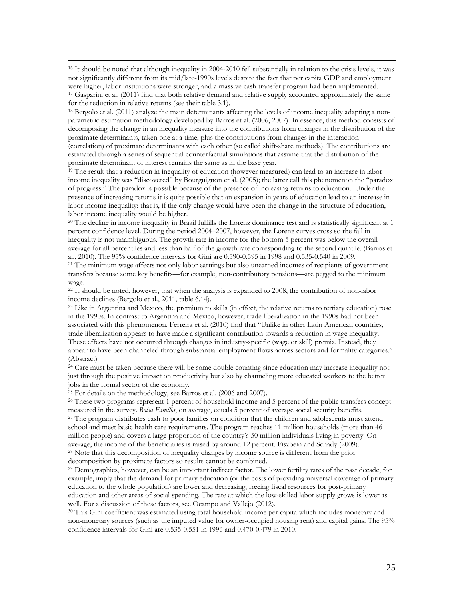<sup>16</sup> It should be noted that although inequality in 2004-2010 fell substantially in relation to the crisis levels, it was not significantly different from its mid/late-1990s levels despite the fact that per capita GDP and employment were higher, labor institutions were stronger, and a massive cash transfer program had been implemented. <sup>17</sup> Gasparini et al. (2011) find that both relative demand and relative supply accounted approximately the same

 $\overline{a}$ 

<sup>18</sup> Bergolo et al. (2011) analyze the main determinants affecting the levels of income inequality adapting a nonparametric estimation methodology developed by Barros et al. (2006, 2007). In essence, this method consists of decomposing the change in an inequality measure into the contributions from changes in the distribution of the proximate determinants, taken one at a time, plus the contributions from changes in the interaction (correlation) of proximate determinants with each other (so called shift-share methods). The contributions are estimated through a series of sequential counterfactual simulations that assume that the distribution of the proximate determinant of interest remains the same as in the base year.

<span id="page-26-3"></span><span id="page-26-2"></span><span id="page-26-1"></span><sup>19</sup> The result that a reduction in inequality of education (however measured) can lead to an increase in labor income inequality was "discovered" by Bourguignon et al. (2005); the latter call this phenomenon the "paradox of progress." The paradox is possible because of the presence of increasing returns to education. Under the presence of increasing returns it is quite possible that an expansion in years of education lead to an increase in labor income inequality: that is, if the only change would have been the change in the structure of education, labor income inequality would be higher.

<span id="page-26-4"></span><sup>20</sup> The decline in income inequality in Brazil fulfills the Lorenz dominance test and is statistically significant at 1 percent confidence level. During the period 2004–2007, however, the Lorenz curves cross so the fall in inequality is not unambiguous. The growth rate in income for the bottom 5 percent was below the overall average for all percentiles and less than half of the growth rate corresponding to the second quintile. (Barros et al., 2010). The 95% confidence intervals for Gini are 0.590-0.595 in 1998 and 0.535-0.540 in 2009.

<sup>21</sup> The minimum wage affects not only labor earnings but also unearned incomes of recipients of government transfers because some key benefits—for example, non-contributory pensions—are pegged to the minimum wage.

<sup>22</sup> It should be noted, however, that when the analysis is expanded to 2008, the contribution of non-labor income declines (Bergolo et al., 2011, table 6.14).

<span id="page-26-5"></span><sup>23</sup> Like in Argentina and Mexico, the premium to skills (in effect, the relative returns to tertiary education) rose in the 1990s. In contrast to Argentina and Mexico, however, trade liberalization in the 1990s had not been associated with this phenomenon. Ferreira et al. (2010) find that "Unlike in other Latin American countries, trade liberalization appears to have made a significant contribution towards a reduction in wage inequality. These effects have not occurred through changes in industry-specific (wage or skill) premia. Instead, they appear to have been channeled through substantial employment flows across sectors and formality categories." (Abstract)

<sup>24</sup> Care must be taken because there will be some double counting since education may increase inequality not just through the positive impact on productivity but also by channeling more educated workers to the better jobs in the formal sector of the economy.

<span id="page-26-6"></span><sup>25</sup> For details on the methodology, see Barros et al. (2006 and 2007).

<sup>26</sup> These two programs represent 1 percent of household income and 5 percent of the public transfers concept measured in the survey. *Bolsa Família*, on average, equals 5 percent of average social security benefits. 27 The program distributes cash to poor families on condition that the children and adolescents must attend

<span id="page-26-9"></span><span id="page-26-8"></span><span id="page-26-7"></span>school and meet basic health care requirements. The program reaches 11 million households (more than 46 million people) and covers a large proportion of the country's 50 million individuals living in poverty. On average, the income of the beneficiaries is raised by around 12 percent. Fiszbein and Schady (2009). <sup>28</sup> Note that this decomposition of inequality changes by income source is different from the prior decomposition by proximate factors so results cannot be combined.

<span id="page-26-11"></span><span id="page-26-10"></span><sup>29</sup> Demographics, however, can be an important indirect factor. The lower fertility rates of the past decade, for example, imply that the demand for primary education (or the costs of providing universal coverage of primary education to the whole population) are lower and decreasing, freeing fiscal resources for post-primary education and other areas of social spending. The rate at which the low-skilled labor supply grows is lower as well. For a discussion of these factors, see Ocampo and Vallejo (2012).

<sup>30</sup> This Gini coefficient was estimated using total household income per capita which includes monetary and non-monetary sources (such as the imputed value for owner-occupied housing rent) and capital gains. The 95% confidence intervals for Gini are 0.535-0.551 in 1996 and 0.470-0.479 in 2010.

<span id="page-26-0"></span>for the reduction in relative returns (see their table 3.1).